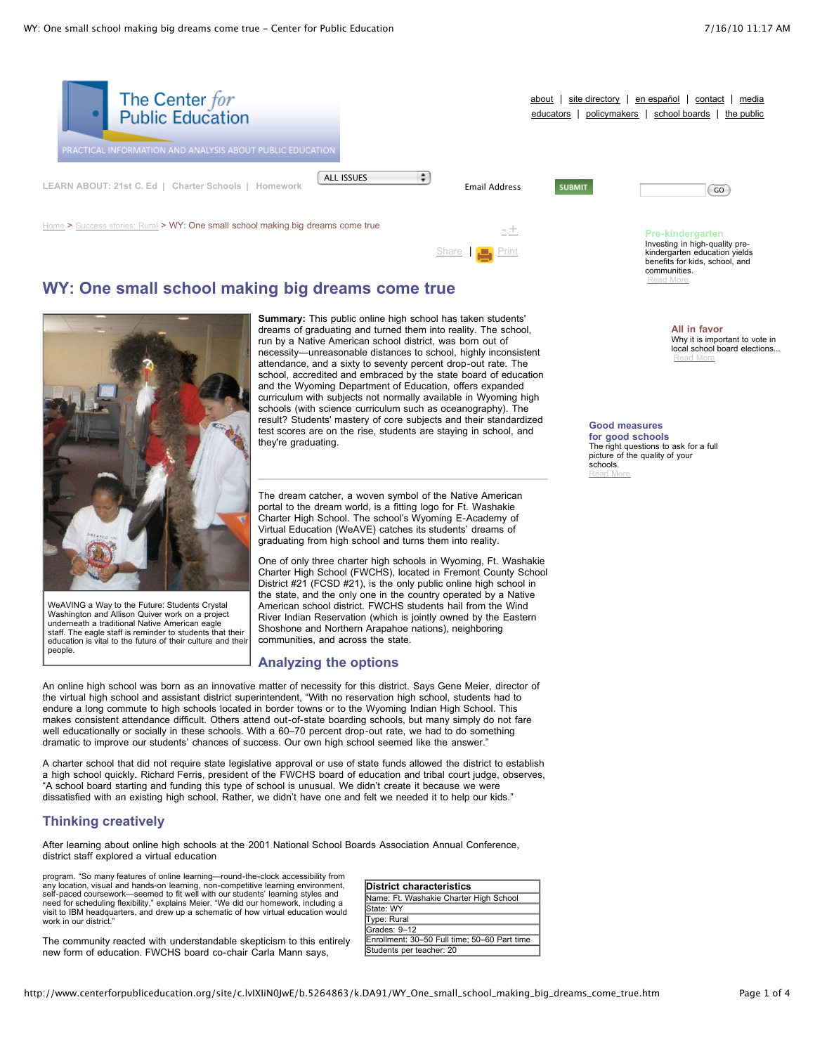

 $\frac{\text{Home}}{\text{N}}$  $\frac{\text{Home}}{\text{N}}$  $\frac{\text{Home}}{\text{N}}$  > [Success](http://www.centerforpubliceducation.org/site/c.lvIXIiN0JwE/b.5256875/k.7AAE/Success_stories_Rural.htm) stories: Rural > WY: One small school making big dreams come true [-](javascript:decreaseFontSize();) [+](javascript:increaseFontSize();)



# **WY: One small school making big dreams come true**



WeAVING a Way to the Future: Students Crystal Washington and Allison Quiver work on a project underneath a traditional Native American eagle staff. The eagle staff is reminder to students that their education is vital to the future of their culture and their people.

**Summary:** This public online high school has taken students' dreams of graduating and turned them into reality. The school, run by a Native American school district, was born out of necessity—unreasonable distances to school, highly inconsistent attendance, and a sixty to seventy percent drop-out rate. The school, accredited and embraced by the state board of education and the Wyoming Department of Education, offers expanded curriculum with subjects not normally available in Wyoming high schools (with science curriculum such as oceanography). The result? Students' mastery of core subjects and their standardized test scores are on the rise, students are staying in school, and they're graduating.

The dream catcher, a woven symbol of the Native American portal to the dream world, is a fitting logo for Ft. Washakie Charter High School. The school's Wyoming E-Academy of Virtual Education (WeAVE) catches its students' dreams of graduating from high school and turns them into reality.

One of only three charter high schools in Wyoming, Ft. Washakie Charter High School (FWCHS), located in Fremont County School District #21 (FCSD #21), is the only public online high school in the state, and the only one in the country operated by a Native American school district. FWCHS students hail from the Wind River Indian Reservation (which is jointly owned by the Eastern Shoshone and Northern Arapahoe nations), neighboring communities, and across the state.

# **Analyzing the options**

An online high school was born as an innovative matter of necessity for this district. Says Gene Meier, director of the virtual high school and assistant district superintendent, "With no reservation high school, students had to endure a long commute to high schools located in border towns or to the Wyoming Indian High School. This makes consistent attendance difficult. Others attend out-of-state boarding schools, but many simply do not fare well educationally or socially in these schools. With a 60–70 percent drop-out rate, we had to do something dramatic to improve our students' chances of success. Our own high school seemed like the answer."

A charter school that did not require state legislative approval or use of state funds allowed the district to establish a high school quickly. Richard Ferris, president of the FWCHS board of education and tribal court judge, observes, "A school board starting and funding this type of school is unusual. We didn't create it because we were dissatisfied with an existing high school. Rather, we didn't have one and felt we needed it to help our kids."

# **Thinking creatively**

After learning about online high schools at the 2001 National School Boards Association Annual Conference, district staff explored a virtual education

program. "So many features of online learning—round-the-clock accessibility from any location, visual and hands-on learning, non-competitive learning environment, self-paced coursework—seemed to fit well with our students' learning styles and need for scheduling flexibility," explains Meier. "We did our homework, including a visit to IBM headquarters, and drew up a schematic of how virtual education would work in our district.

The community reacted with understandable skepticism to this entirely new form of education. FWCHS board co-chair Carla Mann says,

| District characteristics                     |  |
|----------------------------------------------|--|
| Name: Ft. Washakie Charter High School       |  |
| State: WY                                    |  |
| Type: Rural                                  |  |
| Grades: 9-12                                 |  |
| Enrollment: 30-50 Full time; 50-60 Part time |  |
| Students per teacher: 20                     |  |

#### **Pre-kindergarten** Investing in high-quality prekindergarten education yields benefits for kids, school, and

communities. [Read](http://www.centerforpubliceducation.org/site/lookup.asp?c=lvIXIiN0JwE&b=5137859) More

> **All in favor** Why it is important to vote in local school board elections... [Read](http://www.centerforpubliceducation.org/site/lookup.asp?c=lvIXIiN0JwE&b=5137871) More

**Good measures for good schools** The right questions to ask for a full picture of the quality of your schools.

[Read](http://www.centerforpubliceducation.org/site/lookup.asp?c=lvIXIiN0JwE&b=5137869) More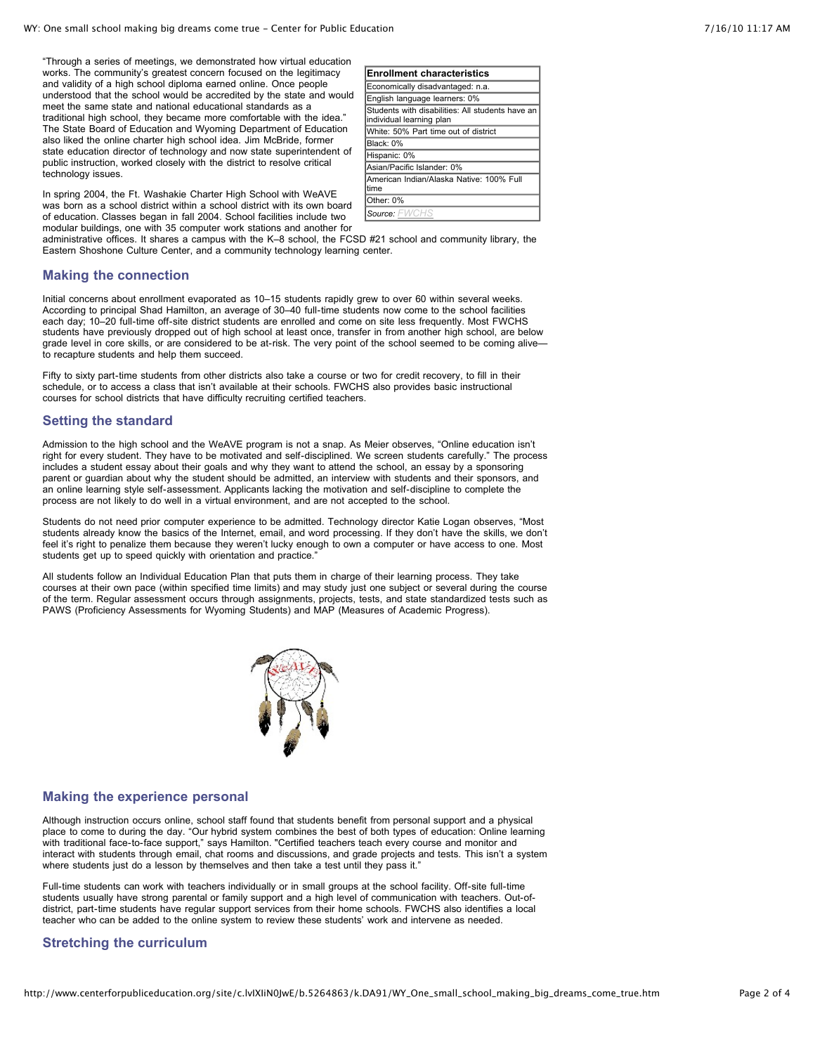"Through a series of meetings, we demonstrated how virtual education works. The community's greatest concern focused on the legitimacy and validity of a high school diploma earned online. Once people understood that the school would be accredited by the state and would meet the same state and national educational standards as a traditional high school, they became more comfortable with the idea." The State Board of Education and Wyoming Department of Education also liked the online charter high school idea. Jim McBride, former state education director of technology and now state superintendent of public instruction, worked closely with the district to resolve critical technology issues.

| <b>Enrollment characteristics</b>                                            |
|------------------------------------------------------------------------------|
| Economically disadvantaged: n.a.                                             |
| English language learners: 0%                                                |
| Students with disabilities: All students have an<br>individual learning plan |
| White: 50% Part time out of district                                         |
| IBlack: 0%                                                                   |
| Hispanic: 0%                                                                 |
| Asian/Pacific Islander: 0%                                                   |
| American Indian/Alaska Native: 100% Full<br>time                             |
| Other: 0%                                                                    |
| Source: FWCHS                                                                |

In spring 2004, the Ft. Washakie Charter High School with WeAVE was born as a school district within a school district with its own board of education. Classes began in fall 2004. School facilities include two modular buildings, one with 35 computer work stations and another for

administrative offices. It shares a campus with the K–8 school, the FCSD #21 school and community library, the Eastern Shoshone Culture Center, and a community technology learning center.

#### **Making the connection**

Initial concerns about enrollment evaporated as 10–15 students rapidly grew to over 60 within several weeks. According to principal Shad Hamilton, an average of 30–40 full-time students now come to the school facilities each day; 10–20 full-time off-site district students are enrolled and come on site less frequently. Most FWCHS students have previously dropped out of high school at least once, transfer in from another high school, are below grade level in core skills, or are considered to be at-risk. The very point of the school seemed to be coming alive to recapture students and help them succeed.

Fifty to sixty part-time students from other districts also take a course or two for credit recovery, to fill in their schedule, or to access a class that isn't available at their schools. FWCHS also provides basic instructional courses for school districts that have difficulty recruiting certified teachers.

#### **Setting the standard**

Admission to the high school and the WeAVE program is not a snap. As Meier observes, "Online education isn't right for every student. They have to be motivated and self-disciplined. We screen students carefully." The process includes a student essay about their goals and why they want to attend the school, an essay by a sponsoring parent or guardian about why the student should be admitted, an interview with students and their sponsors, and an online learning style self-assessment. Applicants lacking the motivation and self-discipline to complete the process are not likely to do well in a virtual environment, and are not accepted to the school.

Students do not need prior computer experience to be admitted. Technology director Katie Logan observes, "Most students already know the basics of the Internet, email, and word processing. If they don't have the skills, we don't feel it's right to penalize them because they weren't lucky enough to own a computer or have access to one. Most students get up to speed quickly with orientation and practice."

All students follow an Individual Education Plan that puts them in charge of their learning process. They take courses at their own pace (within specified time limits) and may study just one subject or several during the course of the term. Regular assessment occurs through assignments, projects, tests, and state standardized tests such as PAWS (Proficiency Assessments for Wyoming Students) and MAP (Measures of Academic Progress).



#### **Making the experience personal**

Although instruction occurs online, school staff found that students benefit from personal support and a physical place to come to during the day. "Our hybrid system combines the best of both types of education: Online learning with traditional face-to-face support," says Hamilton. "Certified teachers teach every course and monitor and interact with students through email, chat rooms and discussions, and grade projects and tests. This isn't a system where students just do a lesson by themselves and then take a test until they pass it."

Full-time students can work with teachers individually or in small groups at the school facility. Off-site full-time students usually have strong parental or family support and a high level of communication with teachers. Out-ofdistrict, part-time students have regular support services from their home schools. FWCHS also identifies a local teacher who can be added to the online system to review these students' work and intervene as needed.

#### **Stretching the curriculum**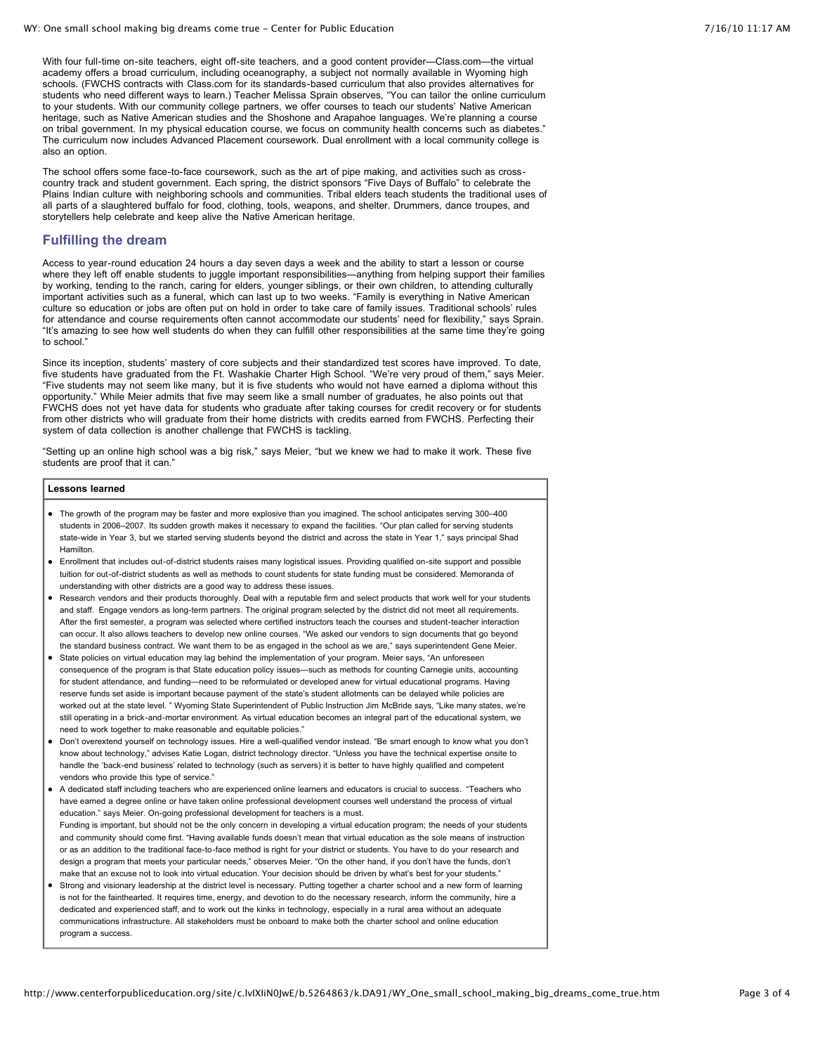With four full-time on-site teachers, eight off-site teachers, and a good content provider—Class.com—the virtual academy offers a broad curriculum, including oceanography, a subject not normally available in Wyoming high schools. (FWCHS contracts with Class.com for its standards-based curriculum that also provides alternatives for students who need different ways to learn.) Teacher Melissa Sprain observes, "You can tailor the online curriculum to your students. With our community college partners, we offer courses to teach our students' Native American heritage, such as Native American studies and the Shoshone and Arapahoe languages. We're planning a course on tribal government. In my physical education course, we focus on community health concerns such as diabetes." The curriculum now includes Advanced Placement coursework. Dual enrollment with a local community college is also an option.

The school offers some face-to-face coursework, such as the art of pipe making, and activities such as crosscountry track and student government. Each spring, the district sponsors "Five Days of Buffalo" to celebrate the Plains Indian culture with neighboring schools and communities. Tribal elders teach students the traditional uses of all parts of a slaughtered buffalo for food, clothing, tools, weapons, and shelter. Drummers, dance troupes, and storytellers help celebrate and keep alive the Native American heritage.

### **Fulfilling the dream**

Access to year-round education 24 hours a day seven days a week and the ability to start a lesson or course where they left off enable students to juggle important responsibilities—anything from helping support their families by working, tending to the ranch, caring for elders, younger siblings, or their own children, to attending culturally important activities such as a funeral, which can last up to two weeks. "Family is everything in Native American culture so education or jobs are often put on hold in order to take care of family issues. Traditional schools' rules for attendance and course requirements often cannot accommodate our students' need for flexibility," says Sprain. "It's amazing to see how well students do when they can fulfill other responsibilities at the same time they're going to school."

Since its inception, students' mastery of core subjects and their standardized test scores have improved. To date, five students have graduated from the Ft. Washakie Charter High School. "We're very proud of them," says Meier. "Five students may not seem like many, but it is five students who would not have earned a diploma without this opportunity." While Meier admits that five may seem like a small number of graduates, he also points out that FWCHS does not yet have data for students who graduate after taking courses for credit recovery or for students from other districts who will graduate from their home districts with credits earned from FWCHS. Perfecting their system of data collection is another challenge that FWCHS is tackling.

"Setting up an online high school was a big risk," says Meier, "but we knew we had to make it work. These five students are proof that it can."

#### **Lessons learned**

- The growth of the program may be faster and more explosive than you imagined. The school anticipates serving 300–400 students in 2006–2007. Its sudden growth makes it necessary to expand the facilities. "Our plan called for serving students state-wide in Year 3, but we started serving students beyond the district and across the state in Year 1," says principal Shad Hamilton.
- Enrollment that includes out-of-district students raises many logistical issues. Providing qualified on-site support and possible tuition for out-of-district students as well as methods to count students for state funding must be considered. Memoranda of understanding with other districts are a good way to address these issues.
- Research vendors and their products thoroughly. Deal with a reputable firm and select products that work well for your students and staff. Engage vendors as long-term partners. The original program selected by the district did not meet all requirements. After the first semester, a program was selected where certified instructors teach the courses and student-teacher interaction can occur. It also allows teachers to develop new online courses. "We asked our vendors to sign documents that go beyond the standard business contract. We want them to be as engaged in the school as we are," says superintendent Gene Meier.
- State policies on virtual education may lag behind the implementation of your program. Meier says, "An unforeseen consequence of the program is that State education policy issues—such as methods for counting Carnegie units, accounting for student attendance, and funding—need to be reformulated or developed anew for virtual educational programs. Having reserve funds set aside is important because payment of the state's student allotments can be delayed while policies are worked out at the state level. " Wyoming State Superintendent of Public Instruction Jim McBride says, "Like many states, we're still operating in a brick-and-mortar environment. As virtual education becomes an integral part of the educational system, we need to work together to make reasonable and equitable policies."
- Don't overextend yourself on technology issues. Hire a well-qualified vendor instead. "Be smart enough to know what you don't know about technology," advises Katie Logan, district technology director. "Unless you have the technical expertise onsite to handle the 'back-end business' related to technology (such as servers) it is better to have highly qualified and competent vendors who provide this type of service."
- A dedicated staff including teachers who are experienced online learners and educators is crucial to success. "Teachers who have earned a degree online or have taken online professional development courses well understand the process of virtual education." says Meier. On-going professional development for teachers is a must. Funding is important, but should not be the only concern in developing a virtual education program; the needs of your students and community should come first. "Having available funds doesn't mean that virtual education as the sole means of instruction or as an addition to the traditional face-to-face method is right for your district or students. You have to do your research and design a program that meets your particular needs," observes Meier. "On the other hand, if you don't have the funds, don't make that an excuse not to look into virtual education. Your decision should be driven by what's best for your students."
- Strong and visionary leadership at the district level is necessary. Putting together a charter school and a new form of learning is not for the fainthearted. It requires time, energy, and devotion to do the necessary research, inform the community, hire a dedicated and experienced staff, and to work out the kinks in technology, especially in a rural area without an adequate communications infrastructure. All stakeholders must be onboard to make both the charter school and online education program a success.